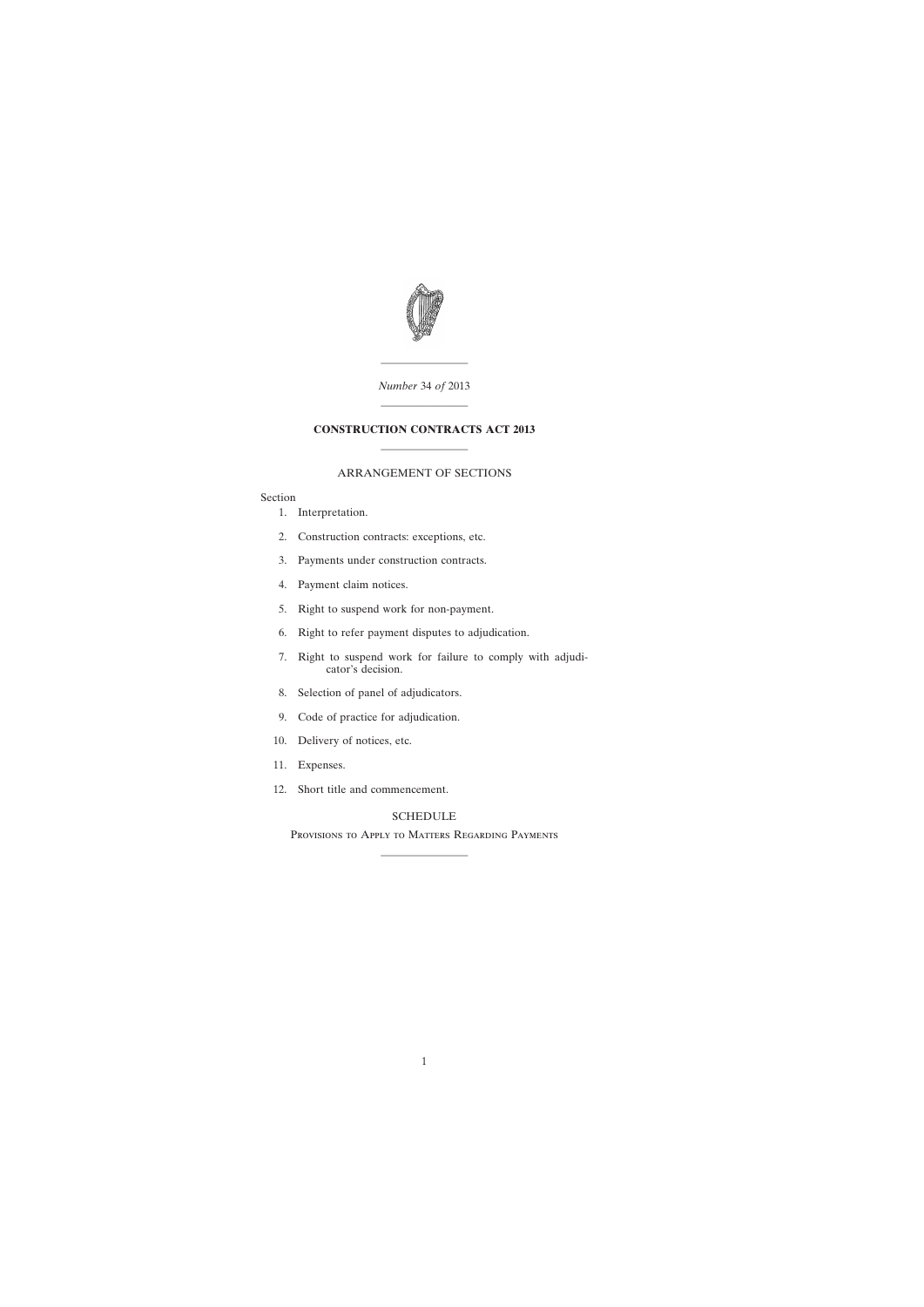

## ———————— *Number* 34 *of* 2013

## **CONSTRUCTION CONTRACTS ACT 2013** ————————

————————

## ARRANGEMENT OF SECTIONS

## Section

- [1. Interpretation.](#page-2-0)
- [2. Construction contracts: exceptions, etc.](#page-4-0)
- [3. Payments under construction contracts.](#page-5-0)
- [4. Payment claim notices.](#page-6-0)
- [5. Right to suspend work for non-payment.](#page-7-0)
- [6. Right to refer payment disputes to adjudication.](#page-8-0)
- [7. Right to suspend work for failure to comply with adjudi](#page-9-0)cator's decision.
- [8. Selection of panel of adjudicators.](#page-10-0)
- [9. Code of practice for adjudication.](#page-11-0)
- [10. Delivery of notices, etc.](#page-11-0)
- [11. Expenses.](#page-11-0)
- [12. Short title and commencement.](#page-11-0)

## [SCHEDULE](#page-12-0)

Provisions to Apply to Matters Regarding Payments ————————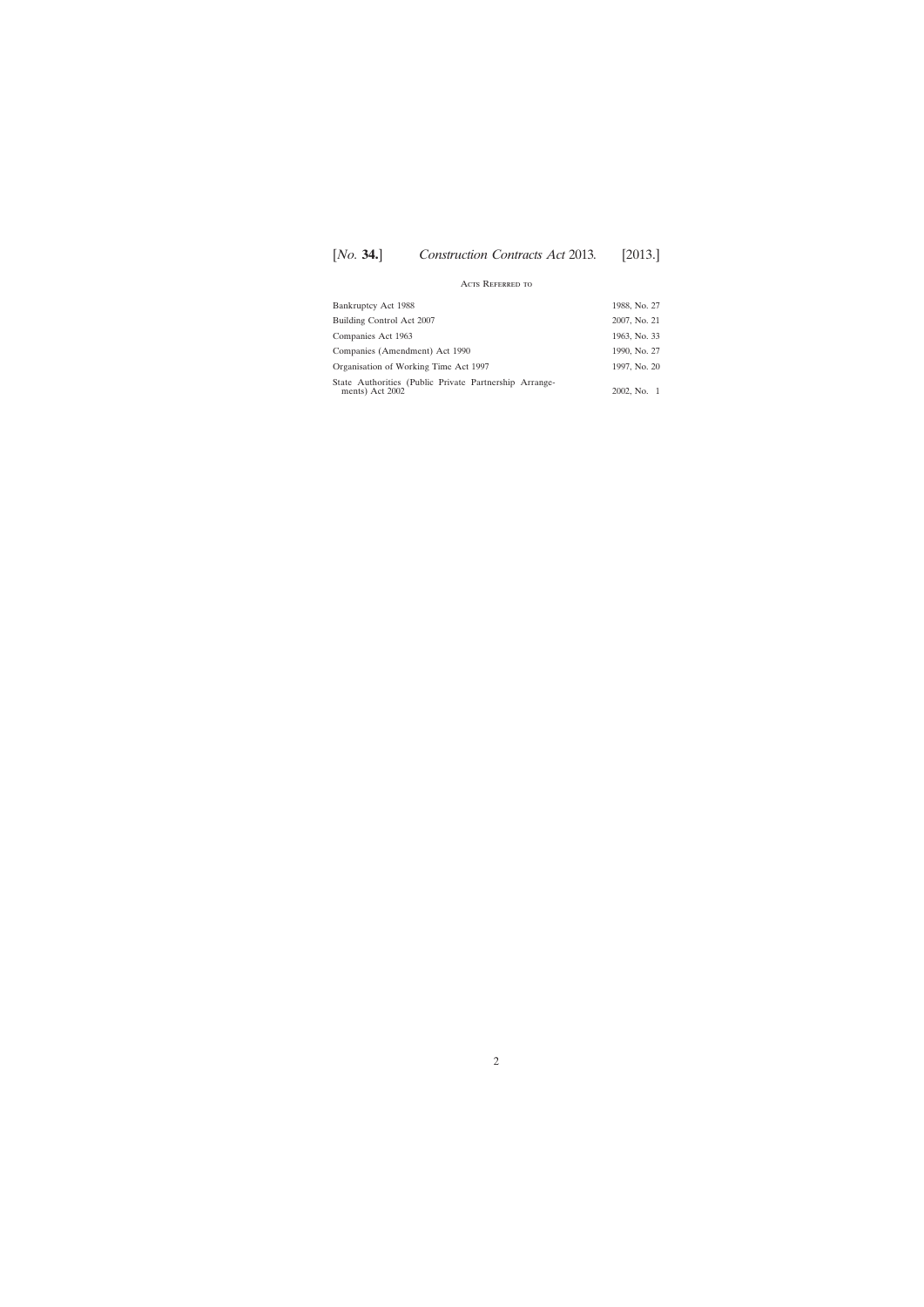# [*No.* **34.**] [2013.] *Construction Contracts Act* 2013*.*

## Acts Referred to

| Bankruptcy Act 1988                                                       | 1988, No. 27 |
|---------------------------------------------------------------------------|--------------|
| Building Control Act 2007                                                 | 2007, No. 21 |
| Companies Act 1963                                                        | 1963, No. 33 |
| Companies (Amendment) Act 1990                                            | 1990, No. 27 |
| Organisation of Working Time Act 1997                                     | 1997, No. 20 |
| State Authorities (Public Private Partnership Arrange-<br>ments) Act 2002 | 2002, No. 1  |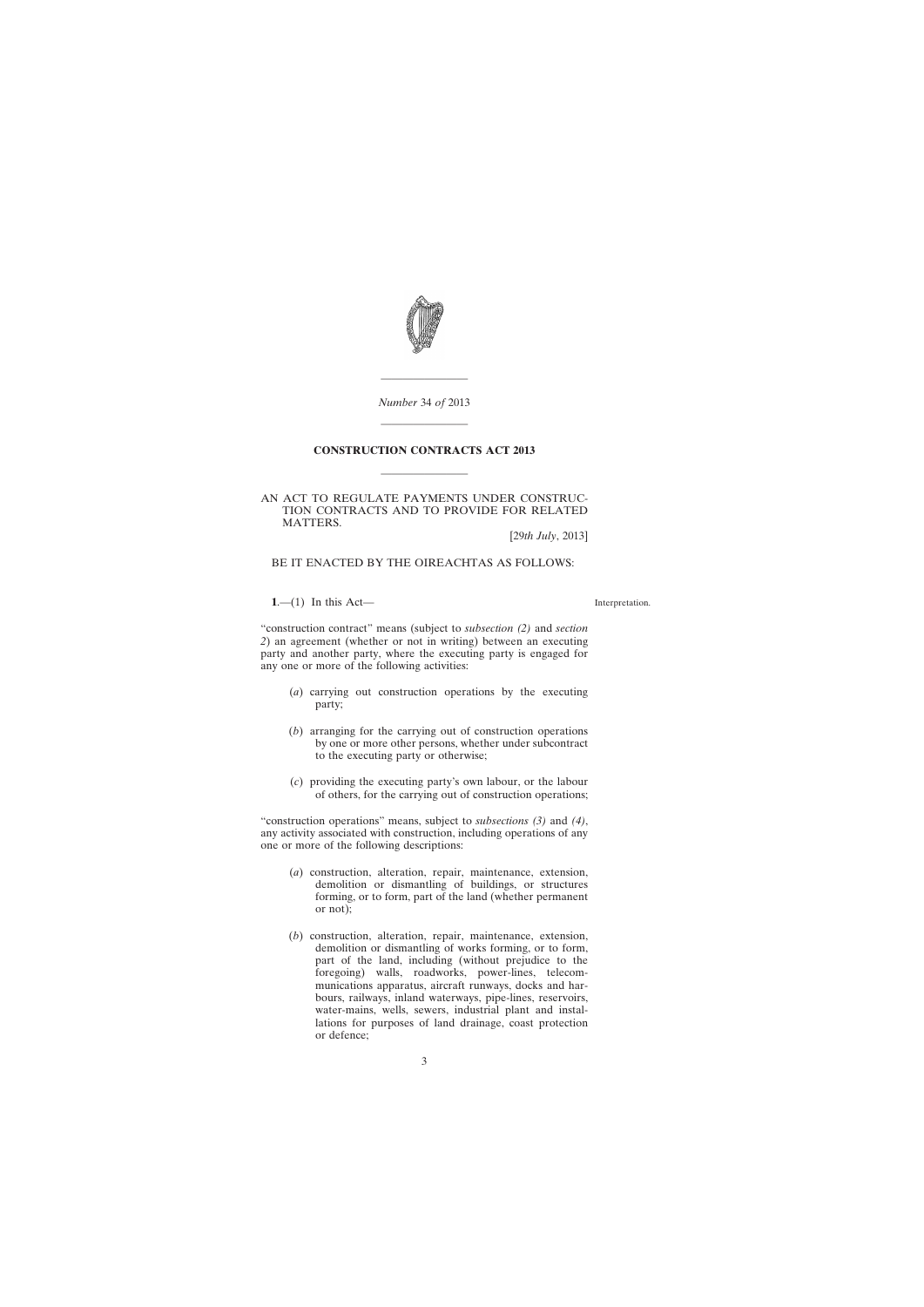<span id="page-2-0"></span>

*Number* 34 *of* 2013

————————

————————

#### **CONSTRUCTION CONTRACTS ACT 2013**

————————

AN ACT TO REGULATE PAYMENTS UNDER CONSTRUC-TION CONTRACTS AND TO PROVIDE FOR RELATED MATTERS.

[29*th July*, 2013]

## BE IT ENACTED BY THE OIREACHTAS AS FOLLOWS:

#### **1**.—(1) In this Act—

Interpretation.

"construction contract" means (subject to *subsection (2)* and *section 2*) an agreement (whether or not in writing) between an executing party and another party, where the executing party is engaged for any one or more of the following activities:

- (*a*) carrying out construction operations by the executing party;
- (*b*) arranging for the carrying out of construction operations by one or more other persons, whether under subcontract to the executing party or otherwise;
- (*c*) providing the executing party's own labour, or the labour of others, for the carrying out of construction operations;

"construction operations" means, subject to *subsections (3)* and *(4)*, any activity associated with construction, including operations of any one or more of the following descriptions:

- (*a*) construction, alteration, repair, maintenance, extension, demolition or dismantling of buildings, or structures forming, or to form, part of the land (whether permanent or not);
- (*b*) construction, alteration, repair, maintenance, extension, demolition or dismantling of works forming, or to form, part of the land, including (without prejudice to the foregoing) walls, roadworks, power-lines, telecommunications apparatus, aircraft runways, docks and harbours, railways, inland waterways, pipe-lines, reservoirs, water-mains, wells, sewers, industrial plant and installations for purposes of land drainage, coast protection or defence;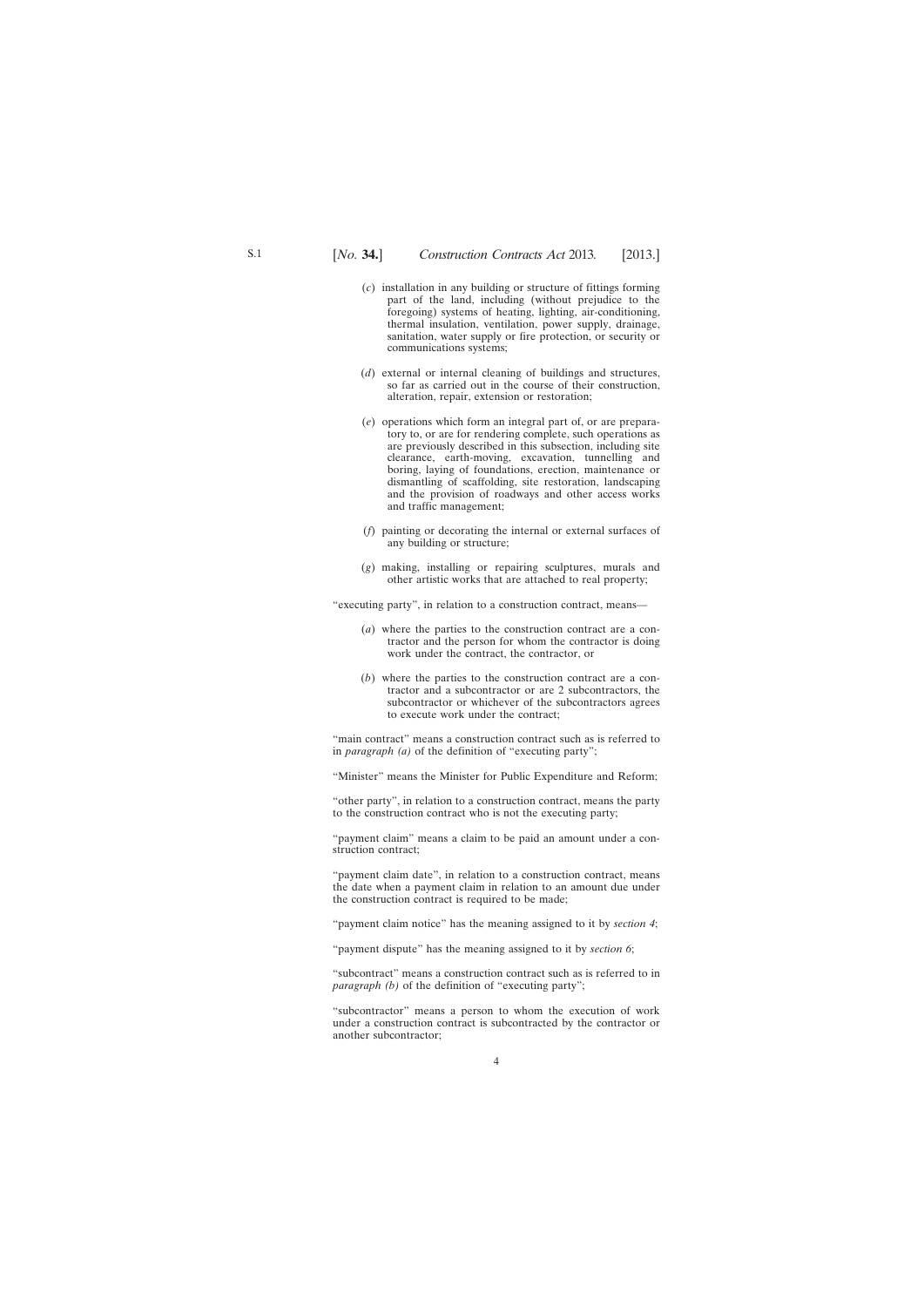- (*c*) installation in any building or structure of fittings forming part of the land, including (without prejudice to the foregoing) systems of heating, lighting, air-conditioning, thermal insulation, ventilation, power supply, drainage, sanitation, water supply or fire protection, or security or communications systems;
- (*d*) external or internal cleaning of buildings and structures, so far as carried out in the course of their construction, alteration, repair, extension or restoration;
- (*e*) operations which form an integral part of, or are preparatory to, or are for rendering complete, such operations as are previously described in this subsection, including site clearance, earth-moving, excavation, tunnelling and boring, laying of foundations, erection, maintenance or dismantling of scaffolding, site restoration, landscaping and the provision of roadways and other access works and traffic management;
- (*f*) painting or decorating the internal or external surfaces of any building or structure;
- (*g*) making, installing or repairing sculptures, murals and other artistic works that are attached to real property;

"executing party", in relation to a construction contract, means—

- (*a*) where the parties to the construction contract are a contractor and the person for whom the contractor is doing work under the contract, the contractor, or
- (*b*) where the parties to the construction contract are a contractor and a subcontractor or are 2 subcontractors, the subcontractor or whichever of the subcontractors agrees to execute work under the contract;

"main contract" means a construction contract such as is referred to in *paragraph (a)* of the definition of "executing party";

"Minister" means the Minister for Public Expenditure and Reform;

"other party", in relation to a construction contract, means the party to the construction contract who is not the executing party;

"payment claim" means a claim to be paid an amount under a construction contract;

"payment claim date", in relation to a construction contract, means the date when a payment claim in relation to an amount due under the construction contract is required to be made;

"payment claim notice" has the meaning assigned to it by *section 4*;

"payment dispute" has the meaning assigned to it by *section 6*;

"subcontract" means a construction contract such as is referred to in *paragraph (b)* of the definition of "executing party";

"subcontractor" means a person to whom the execution of work under a construction contract is subcontracted by the contractor or another subcontractor;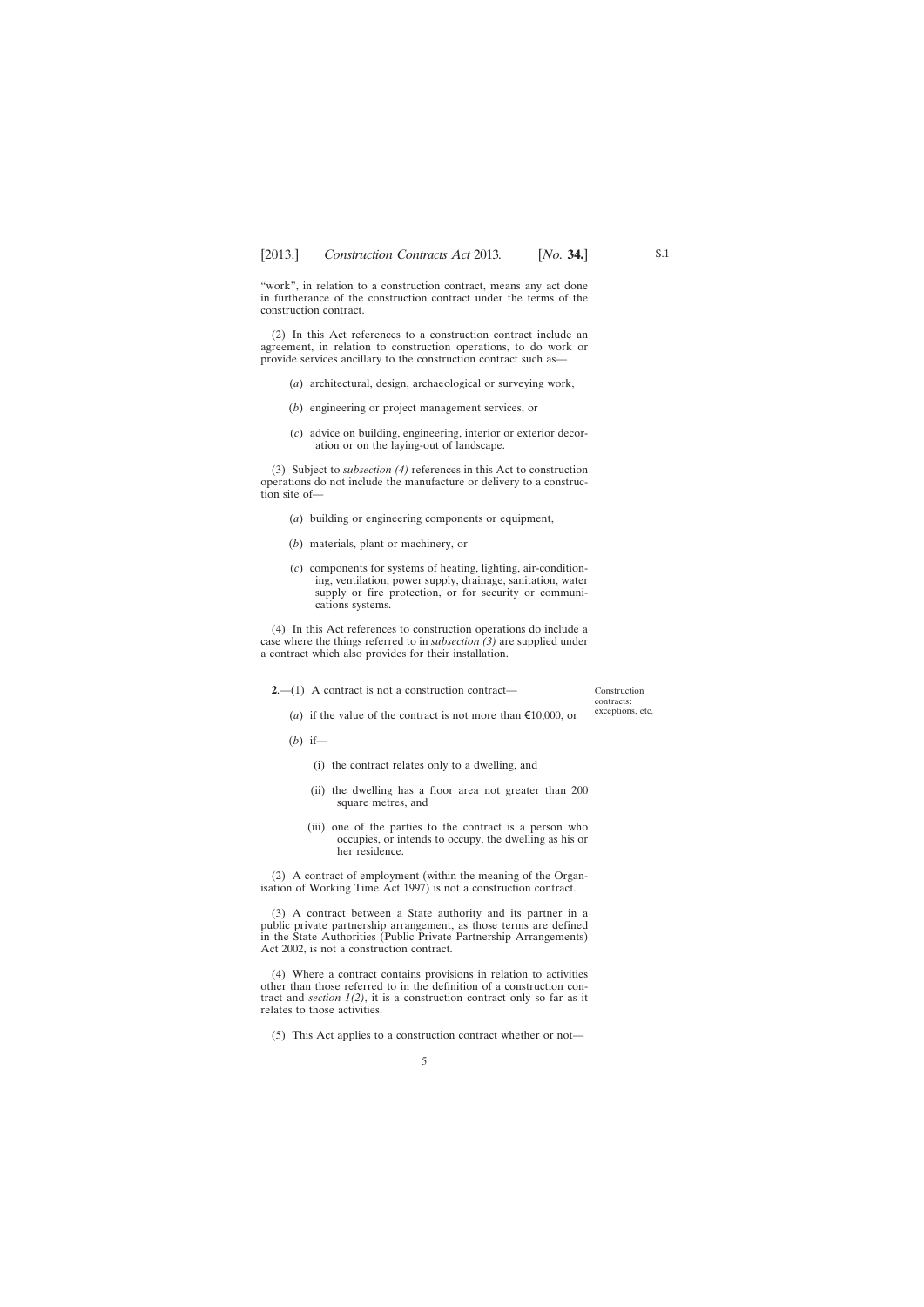<span id="page-4-0"></span>"work", in relation to a construction contract, means any act done in furtherance of the construction contract under the terms of the construction contract.

(2) In this Act references to a construction contract include an agreement, in relation to construction operations, to do work or provide services ancillary to the construction contract such as—

- (*a*) architectural, design, archaeological or surveying work,
- (*b*) engineering or project management services, or
- (*c*) advice on building, engineering, interior or exterior decoration or on the laying-out of landscape.

(3) Subject to *subsection (4)* references in this Act to construction operations do not include the manufacture or delivery to a construction site of—

- (*a*) building or engineering components or equipment,
- (*b*) materials, plant or machinery, or
- (*c*) components for systems of heating, lighting, air-conditioning, ventilation, power supply, drainage, sanitation, water supply or fire protection, or for security or communications systems.

(4) In this Act references to construction operations do include a case where the things referred to in *subsection (3)* are supplied under a contract which also provides for their installation.

**2.**—(1) A contract is not a construction contract—

Construction contracts: exceptions, etc.

- (*a*) if the value of the contract is not more than  $\epsilon$ 10,000, or
- (*b*) if—

(i) the contract relates only to a dwelling, and

- (ii) the dwelling has a floor area not greater than 200 square metres, and
- (iii) one of the parties to the contract is a person who occupies, or intends to occupy, the dwelling as his or her residence.

(2) A contract of employment (within the meaning of the Organisation of Working Time Act 1997) is not a construction contract.

(3) A contract between a State authority and its partner in a public private partnership arrangement, as those terms are defined in the State Authorities (Public Private Partnership Arrangements) Act 2002, is not a construction contract.

(4) Where a contract contains provisions in relation to activities other than those referred to in the definition of a construction contract and *section*  $1(2)$ , it is a construction contract only so far as it relates to those activities.

(5) This Act applies to a construction contract whether or not—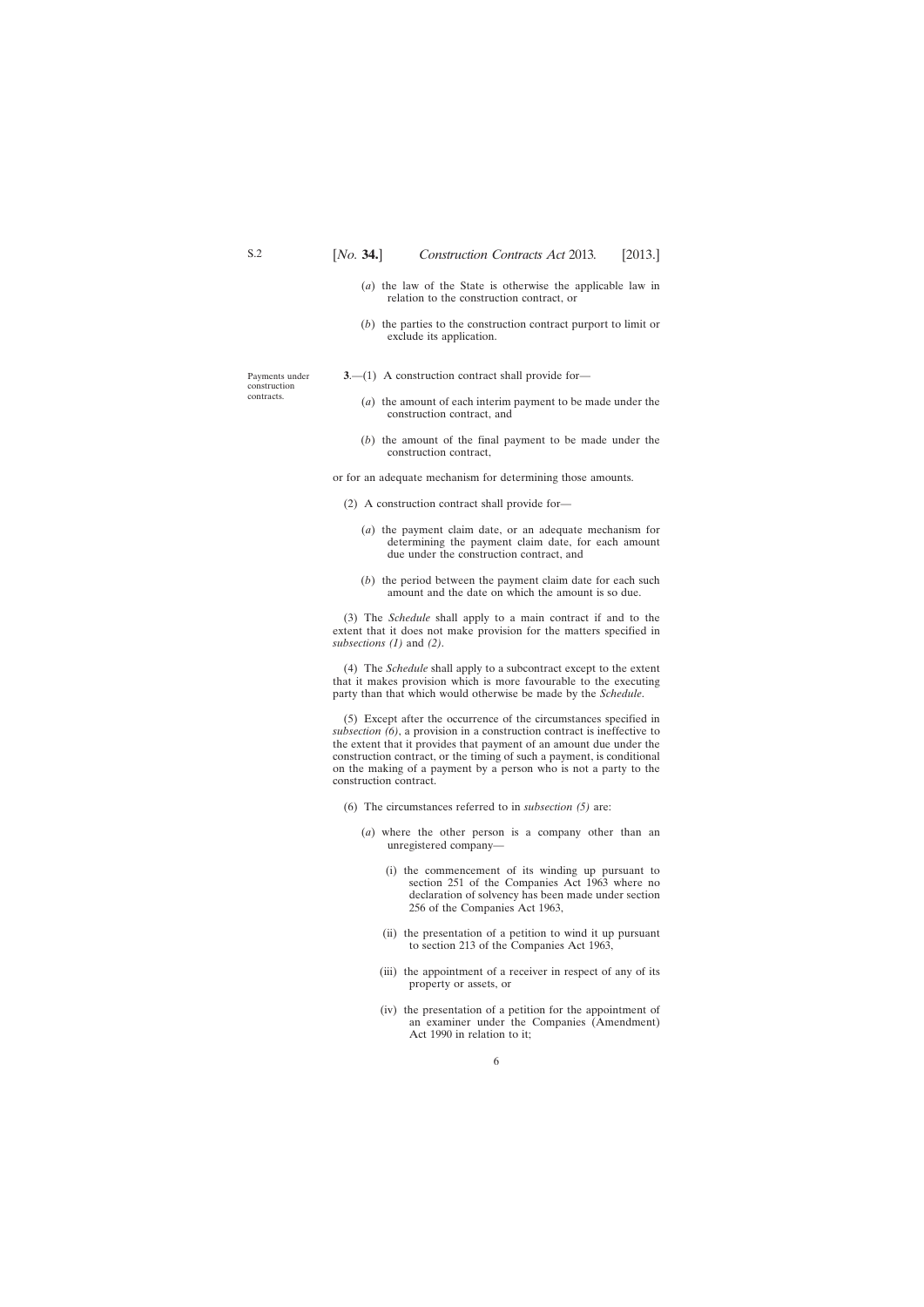- (*a*) the law of the State is otherwise the applicable law in relation to the construction contract, or
- (*b*) the parties to the construction contract purport to limit or exclude its application.

<span id="page-5-0"></span>Payments under construction contracts.

- **3.**—(1) A construction contract shall provide for—
	- (*a*) the amount of each interim payment to be made under the construction contract, and
	- (*b*) the amount of the final payment to be made under the construction contract,

or for an adequate mechanism for determining those amounts.

- (2) A construction contract shall provide for—
	- (*a*) the payment claim date, or an adequate mechanism for determining the payment claim date, for each amount due under the construction contract, and
	- (*b*) the period between the payment claim date for each such amount and the date on which the amount is so due.

(3) The *Schedule* shall apply to a main contract if and to the extent that it does not make provision for the matters specified in *subsections (1)* and *(2)*.

(4) The *Schedule* shall apply to a subcontract except to the extent that it makes provision which is more favourable to the executing party than that which would otherwise be made by the *Schedule*.

(5) Except after the occurrence of the circumstances specified in *subsection (6)*, a provision in a construction contract is ineffective to the extent that it provides that payment of an amount due under the construction contract, or the timing of such a payment, is conditional on the making of a payment by a person who is not a party to the construction contract.

- (6) The circumstances referred to in *subsection (5)* are:
	- (*a*) where the other person is a company other than an unregistered company—
		- (i) the commencement of its winding up pursuant to section 251 of the Companies Act 1963 where no declaration of solvency has been made under section 256 of the Companies Act 1963,
		- (ii) the presentation of a petition to wind it up pursuant to section 213 of the Companies Act 1963,
		- (iii) the appointment of a receiver in respect of any of its property or assets, or
		- (iv) the presentation of a petition for the appointment of an examiner under the Companies (Amendment) Act 1990 in relation to it;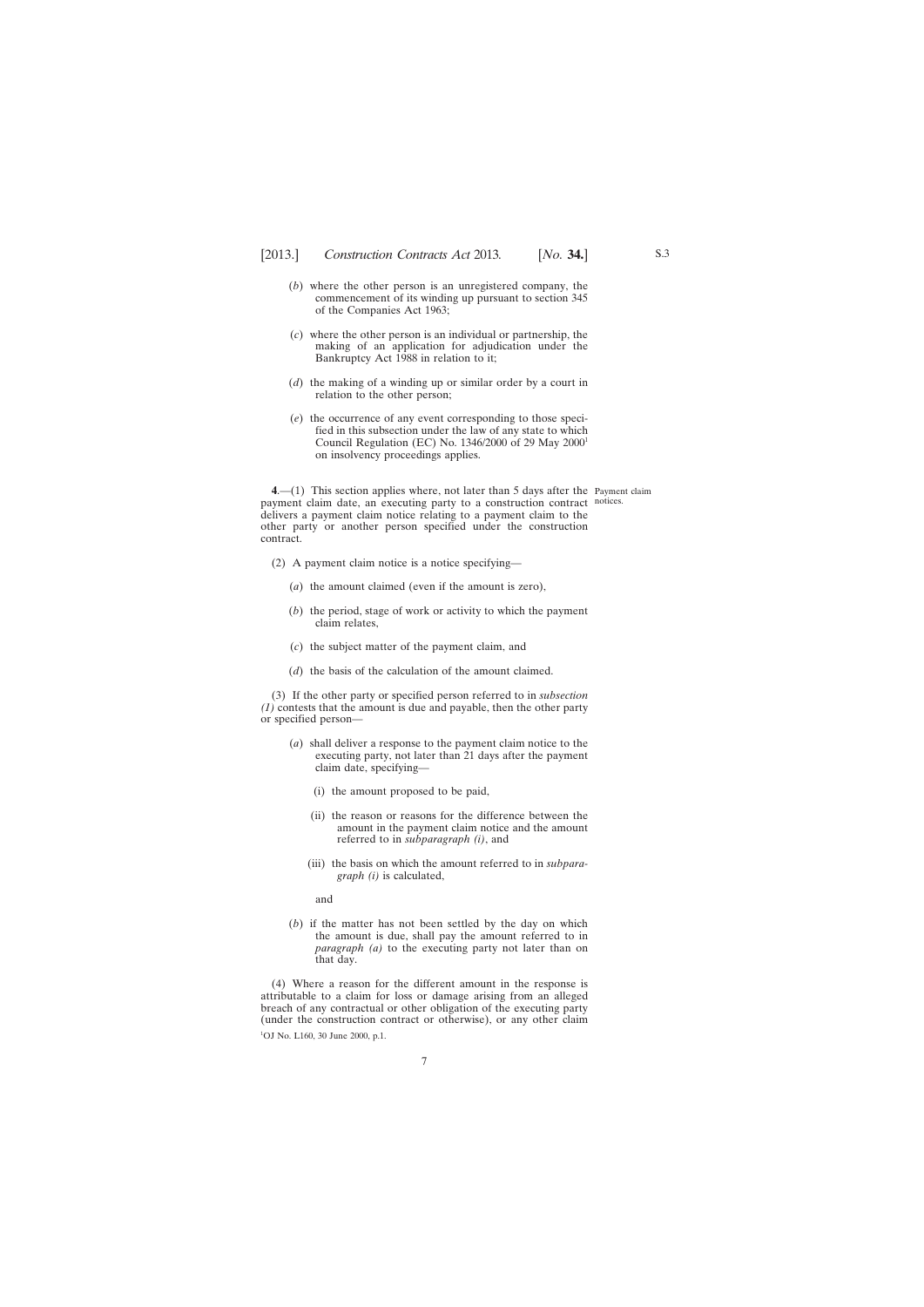- <span id="page-6-0"></span>(*b*) where the other person is an unregistered company, the commencement of its winding up pursuant to section 345 of the Companies Act 1963;
- (*c*) where the other person is an individual or partnership, the making of an application for adjudication under the Bankruptcy Act 1988 in relation to it;
- (*d*) the making of a winding up or similar order by a court in relation to the other person;
- (*e*) the occurrence of any event corresponding to those specified in this subsection under the law of any state to which Council Regulation (EC) No. 1346/2000 of 29 May 20001 on insolvency proceedings applies.

**4**.—(1) This section applies where, not later than 5 days after the Payment claim payment claim date, an executing party to a construction contract notices. delivers a payment claim notice relating to a payment claim to the other party or another person specified under the construction contract.

- (2) A payment claim notice is a notice specifying—
	- (*a*) the amount claimed (even if the amount is zero),
	- (*b*) the period, stage of work or activity to which the payment claim relates,
	- (*c*) the subject matter of the payment claim, and
	- (*d*) the basis of the calculation of the amount claimed.

(3) If the other party or specified person referred to in *subsection (1)* contests that the amount is due and payable, then the other party or specified person—

- (*a*) shall deliver a response to the payment claim notice to the executing party, not later than 21 days after the payment claim date, specifying—
	- (i) the amount proposed to be paid,
	- (ii) the reason or reasons for the difference between the amount in the payment claim notice and the amount referred to in *subparagraph (i)*, and
	- (iii) the basis on which the amount referred to in *subparagraph (i)* is calculated,

and

(*b*) if the matter has not been settled by the day on which the amount is due, shall pay the amount referred to in *paragraph (a)* to the executing party not later than on that day.

(4) Where a reason for the different amount in the response is attributable to a claim for loss or damage arising from an alleged breach of any contractual or other obligation of the executing party (under the construction contract or otherwise), or any other claim <sup>1</sup>OJ No. L160, 30 June 2000, p.1.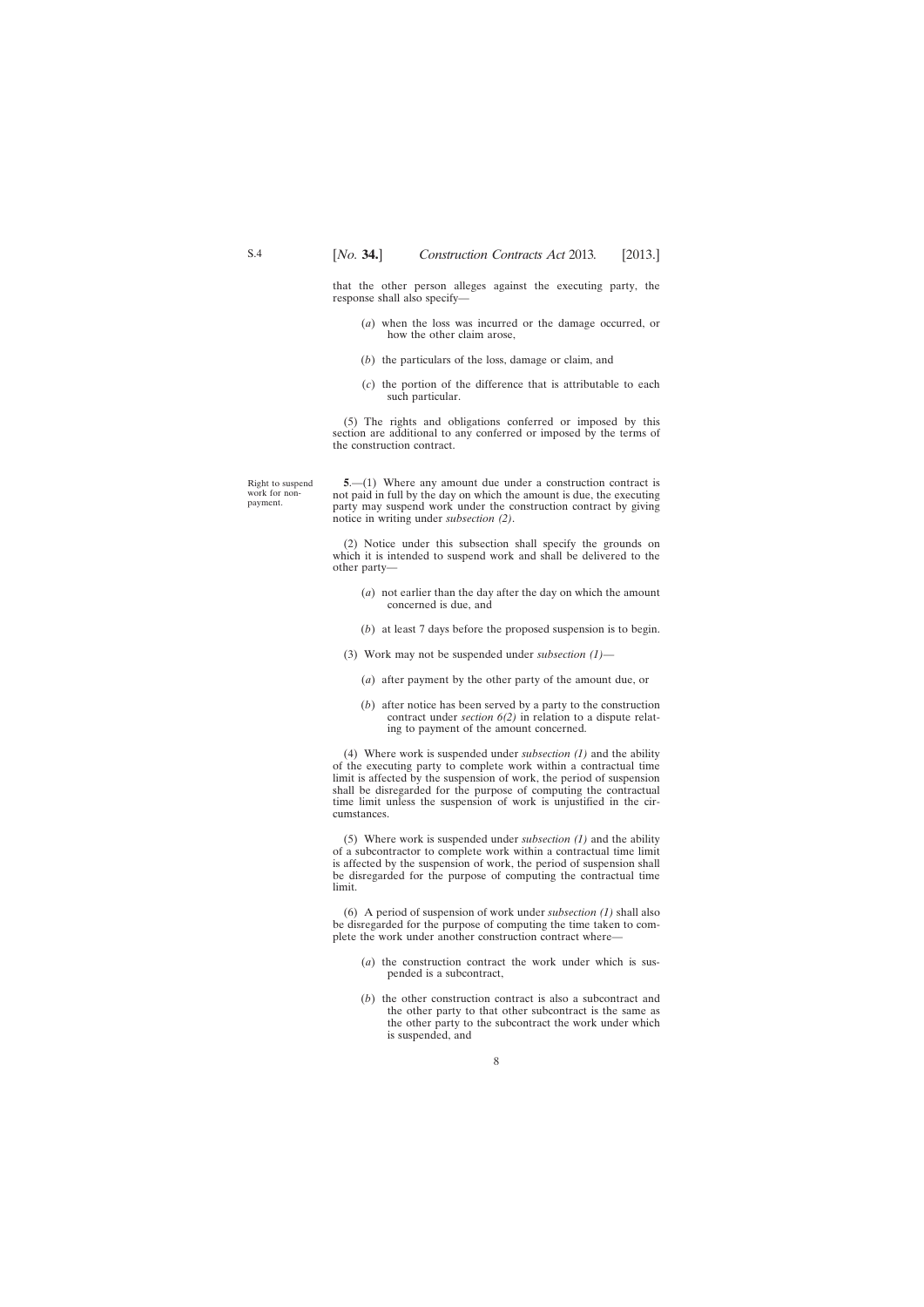<span id="page-7-0"></span>that the other person alleges against the executing party, the response shall also specify—

- (*a*) when the loss was incurred or the damage occurred, or how the other claim arose,
- (*b*) the particulars of the loss, damage or claim, and
- (*c*) the portion of the difference that is attributable to each such particular.

(5) The rights and obligations conferred or imposed by this section are additional to any conferred or imposed by the terms of the construction contract.

Right to suspend work for nonpayment.

**5**.—(1) Where any amount due under a construction contract is not paid in full by the day on which the amount is due, the executing party may suspend work under the construction contract by giving notice in writing under *subsection (2)*.

(2) Notice under this subsection shall specify the grounds on which it is intended to suspend work and shall be delivered to the other party—

- (*a*) not earlier than the day after the day on which the amount concerned is due, and
- (*b*) at least 7 days before the proposed suspension is to begin.
- (3) Work may not be suspended under *subsection (1)*
	- (*a*) after payment by the other party of the amount due, or
	- (*b*) after notice has been served by a party to the construction contract under *section 6(2)* in relation to a dispute relating to payment of the amount concerned.

(4) Where work is suspended under *subsection (1)* and the ability of the executing party to complete work within a contractual time limit is affected by the suspension of work, the period of suspension shall be disregarded for the purpose of computing the contractual time limit unless the suspension of work is unjustified in the circumstances.

(5) Where work is suspended under *subsection (1)* and the ability of a subcontractor to complete work within a contractual time limit is affected by the suspension of work, the period of suspension shall be disregarded for the purpose of computing the contractual time limit.

(6) A period of suspension of work under *subsection (1)* shall also be disregarded for the purpose of computing the time taken to complete the work under another construction contract where-

- (*a*) the construction contract the work under which is suspended is a subcontract,
- (*b*) the other construction contract is also a subcontract and the other party to that other subcontract is the same as the other party to the subcontract the work under which is suspended, and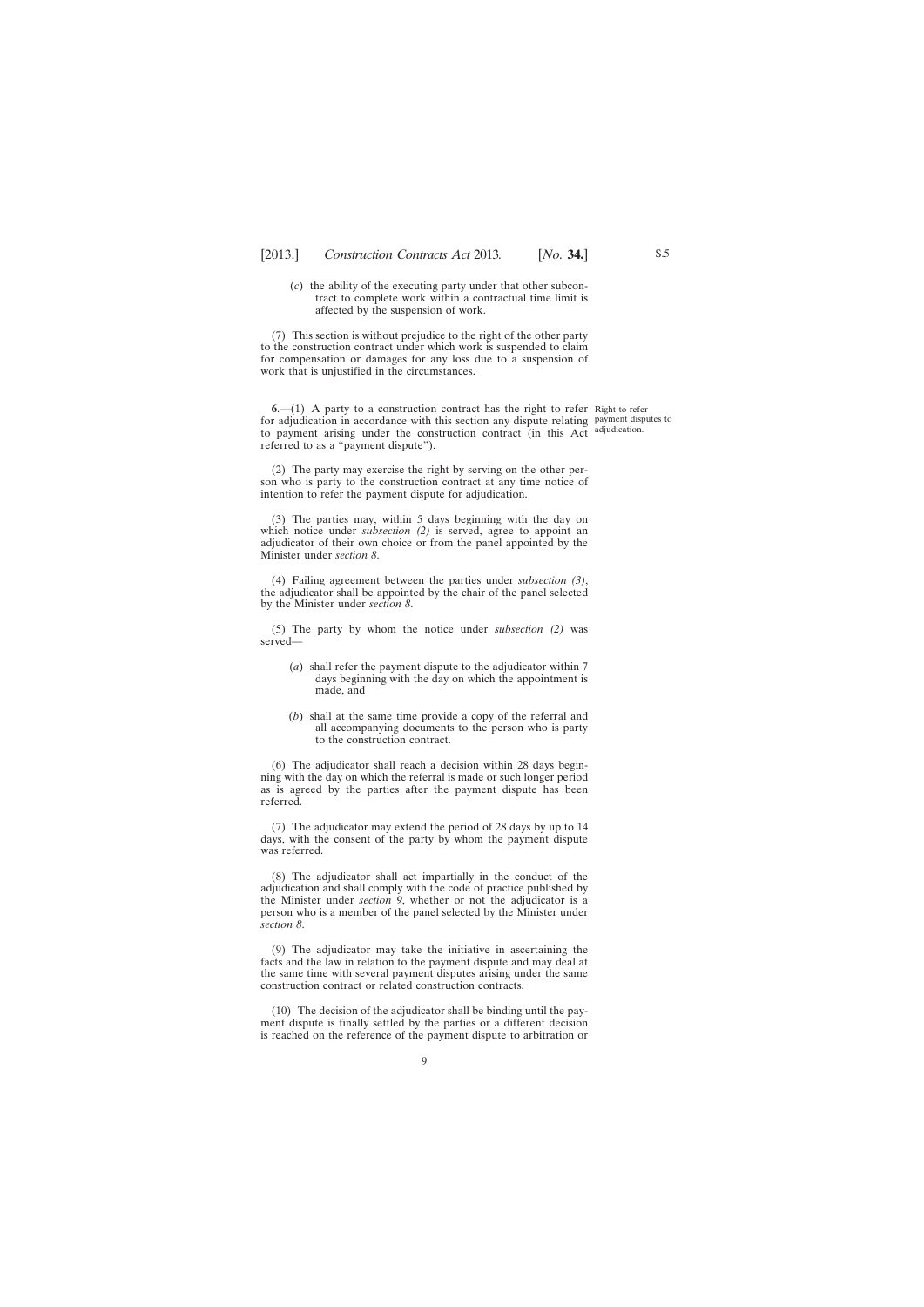<span id="page-8-0"></span>(*c*) the ability of the executing party under that other subcontract to complete work within a contractual time limit is affected by the suspension of work.

(7) This section is without prejudice to the right of the other party to the construction contract under which work is suspended to claim for compensation or damages for any loss due to a suspension of work that is unjustified in the circumstances.

**6**.—(1) A party to a construction contract has the right to refer Right to refer for adjudication in accordance with this section any dispute relating payment disputes to to payment arising under the construction contract (in this Act adjudication. referred to as a "payment dispute").

(2) The party may exercise the right by serving on the other person who is party to the construction contract at any time notice of intention to refer the payment dispute for adjudication.

(3) The parties may, within 5 days beginning with the day on which notice under *subsection* (2) is served, agree to appoint an adjudicator of their own choice or from the panel appointed by the Minister under *section 8*.

(4) Failing agreement between the parties under *subsection (3)*, the adjudicator shall be appointed by the chair of the panel selected by the Minister under *section 8*.

(5) The party by whom the notice under *subsection (2)* was served—

- (*a*) shall refer the payment dispute to the adjudicator within 7 days beginning with the day on which the appointment is made, and
- (*b*) shall at the same time provide a copy of the referral and all accompanying documents to the person who is party to the construction contract.

(6) The adjudicator shall reach a decision within 28 days beginning with the day on which the referral is made or such longer period as is agreed by the parties after the payment dispute has been referred.

(7) The adjudicator may extend the period of 28 days by up to 14 days, with the consent of the party by whom the payment dispute was referred.

(8) The adjudicator shall act impartially in the conduct of the adjudication and shall comply with the code of practice published by the Minister under *section 9*, whether or not the adjudicator is a person who is a member of the panel selected by the Minister under *section 8*.

(9) The adjudicator may take the initiative in ascertaining the facts and the law in relation to the payment dispute and may deal at the same time with several payment disputes arising under the same construction contract or related construction contracts.

(10) The decision of the adjudicator shall be binding until the payment dispute is finally settled by the parties or a different decision is reached on the reference of the payment dispute to arbitration or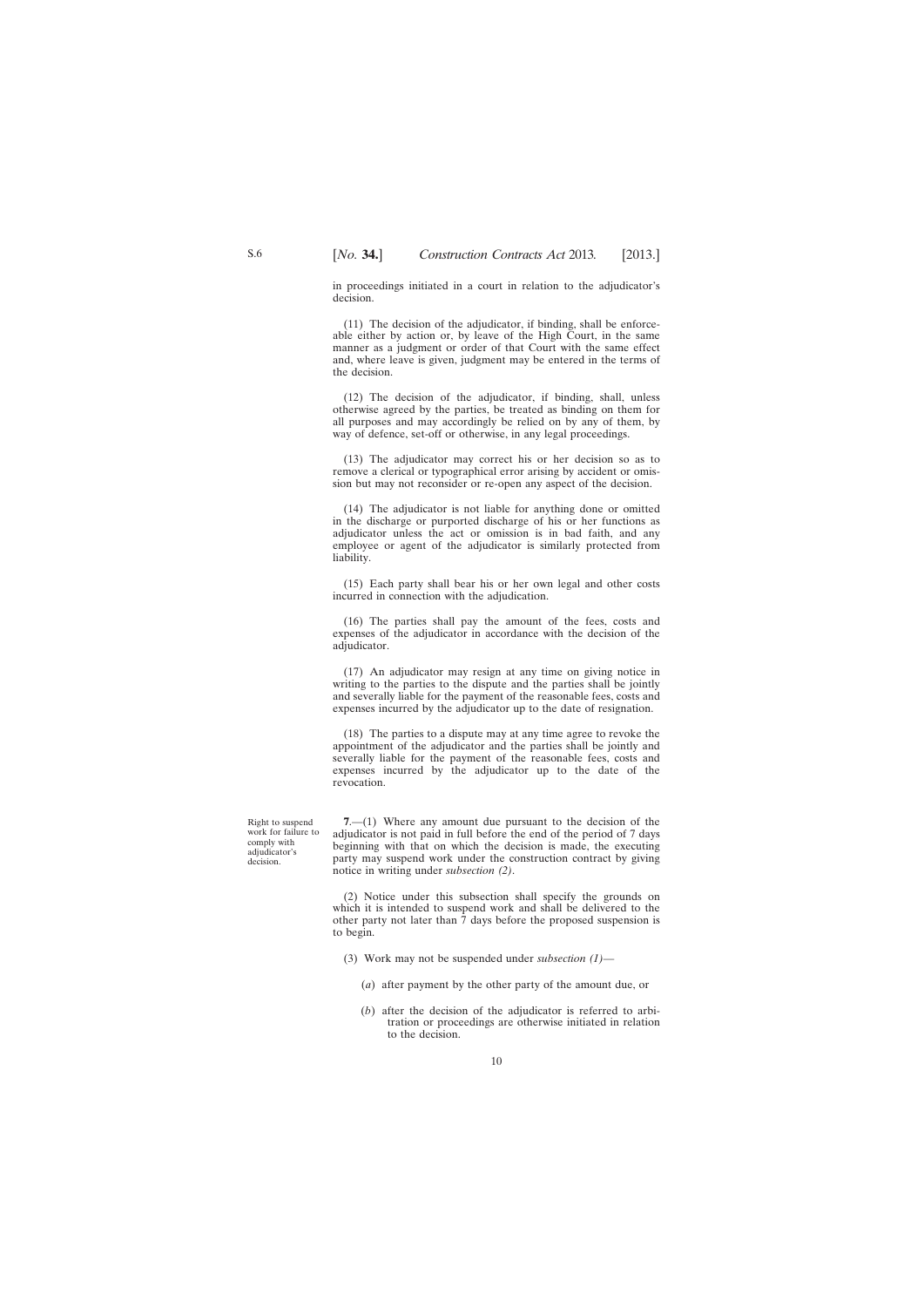<span id="page-9-0"></span>in proceedings initiated in a court in relation to the adjudicator's decision.

(11) The decision of the adjudicator, if binding, shall be enforceable either by action or, by leave of the High Court, in the same manner as a judgment or order of that Court with the same effect and, where leave is given, judgment may be entered in the terms of the decision.

(12) The decision of the adjudicator, if binding, shall, unless otherwise agreed by the parties, be treated as binding on them for all purposes and may accordingly be relied on by any of them, by way of defence, set-off or otherwise, in any legal proceedings.

(13) The adjudicator may correct his or her decision so as to remove a clerical or typographical error arising by accident or omission but may not reconsider or re-open any aspect of the decision.

(14) The adjudicator is not liable for anything done or omitted in the discharge or purported discharge of his or her functions as adjudicator unless the act or omission is in bad faith, and any employee or agent of the adjudicator is similarly protected from liability.

(15) Each party shall bear his or her own legal and other costs incurred in connection with the adjudication.

(16) The parties shall pay the amount of the fees, costs and expenses of the adjudicator in accordance with the decision of the adjudicator.

(17) An adjudicator may resign at any time on giving notice in writing to the parties to the dispute and the parties shall be jointly and severally liable for the payment of the reasonable fees, costs and expenses incurred by the adjudicator up to the date of resignation.

(18) The parties to a dispute may at any time agree to revoke the appointment of the adjudicator and the parties shall be jointly and severally liable for the payment of the reasonable fees, costs and expenses incurred by the adjudicator up to the date of the revocation.

Right to suspend work for failure to comply with adjudicator's decision.

**7**.—(1) Where any amount due pursuant to the decision of the adjudicator is not paid in full before the end of the period of 7 days beginning with that on which the decision is made, the executing party may suspend work under the construction contract by giving notice in writing under *subsection (2)*.

(2) Notice under this subsection shall specify the grounds on which it is intended to suspend work and shall be delivered to the other party not later than 7 days before the proposed suspension is to begin.

- (3) Work may not be suspended under *subsection (1)*
	- (*a*) after payment by the other party of the amount due, or
	- (*b*) after the decision of the adjudicator is referred to arbitration or proceedings are otherwise initiated in relation to the decision.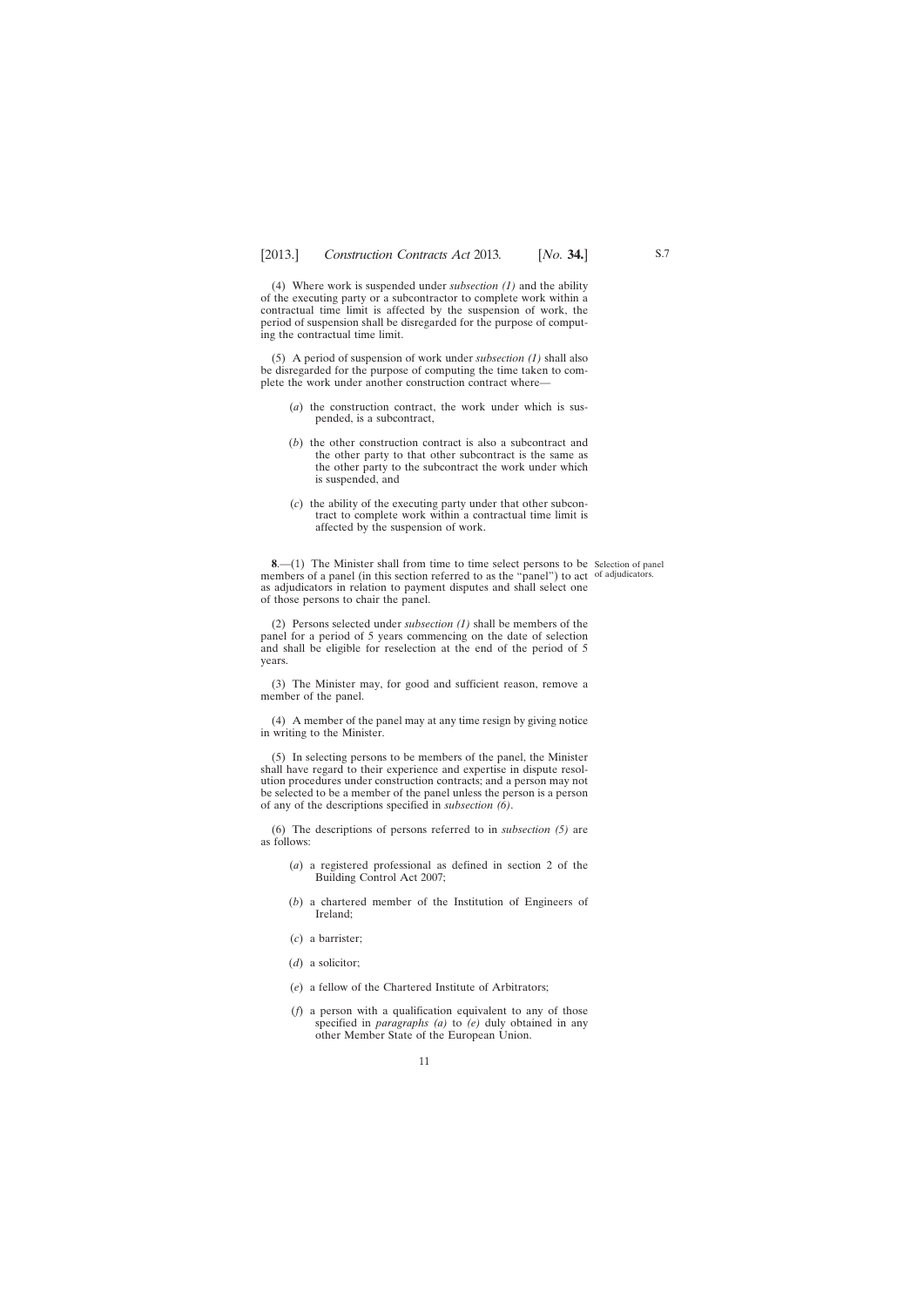<span id="page-10-0"></span>(4) Where work is suspended under *subsection (1)* and the ability of the executing party or a subcontractor to complete work within a contractual time limit is affected by the suspension of work, the period of suspension shall be disregarded for the purpose of computing the contractual time limit.

(5) A period of suspension of work under *subsection (1)* shall also be disregarded for the purpose of computing the time taken to complete the work under another construction contract where—

- (*a*) the construction contract, the work under which is suspended, is a subcontract,
- (*b*) the other construction contract is also a subcontract and the other party to that other subcontract is the same as the other party to the subcontract the work under which is suspended, and
- (*c*) the ability of the executing party under that other subcontract to complete work within a contractual time limit is affected by the suspension of work.

**8**.—(1) The Minister shall from time to time select persons to be Selection of panel members of a panel (in this section referred to as the "panel") to act of adjudicators. as adjudicators in relation to payment disputes and shall select one of those persons to chair the panel.

(2) Persons selected under *subsection (1)* shall be members of the panel for a period of 5 years commencing on the date of selection and shall be eligible for reselection at the end of the period of 5 years.

(3) The Minister may, for good and sufficient reason, remove a member of the panel.

(4) A member of the panel may at any time resign by giving notice in writing to the Minister.

(5) In selecting persons to be members of the panel, the Minister shall have regard to their experience and expertise in dispute resolution procedures under construction contracts; and a person may not be selected to be a member of the panel unless the person is a person of any of the descriptions specified in *subsection (6)*.

(6) The descriptions of persons referred to in *subsection (5)* are as follows:

- (*a*) a registered professional as defined in section 2 of the Building Control Act 2007;
- (*b*) a chartered member of the Institution of Engineers of Ireland;
- (*c*) a barrister;
- (*d*) a solicitor;
- (*e*) a fellow of the Chartered Institute of Arbitrators;
- (*f*) a person with a qualification equivalent to any of those specified in *paragraphs (a)* to *(e)* duly obtained in any other Member State of the European Union.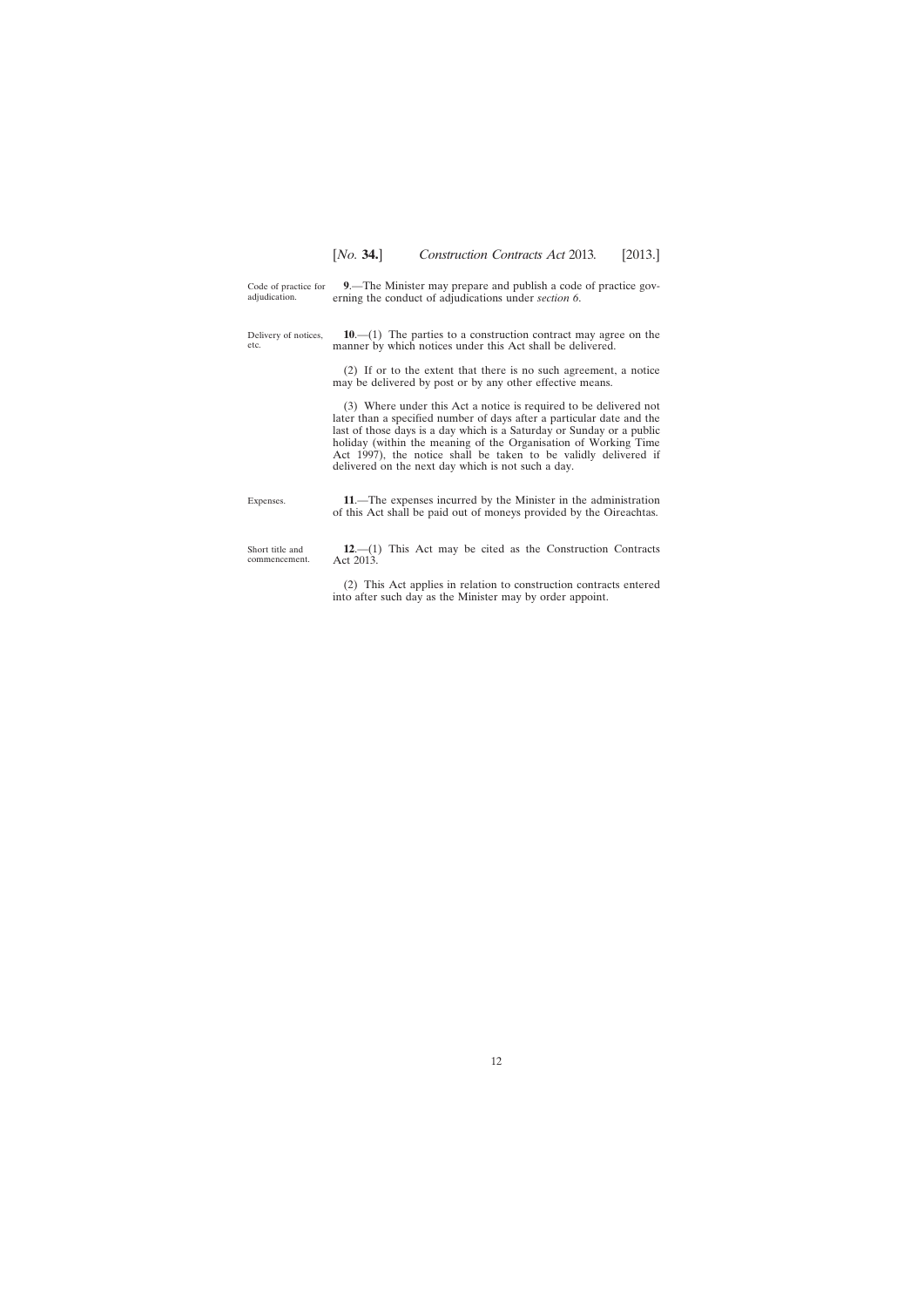<span id="page-11-0"></span>Code of practice for adjudication. **9**.—The Minister may prepare and publish a code of practice governing the conduct of adjudications under *section 6*.

Delivery of notices, etc.

**10**.—(1) The parties to a construction contract may agree on the manner by which notices under this Act shall be delivered.

(2) If or to the extent that there is no such agreement, a notice may be delivered by post or by any other effective means.

(3) Where under this Act a notice is required to be delivered not later than a specified number of days after a particular date and the last of those days is a day which is a Saturday or Sunday or a public holiday (within the meaning of the Organisation of Working Time Act 1997), the notice shall be taken to be validly delivered if delivered on the next day which is not such a day.

Expenses. **11**.—The expenses incurred by the Minister in the administration of this Act shall be paid out of moneys provided by the Oireachtas.

Short title and commencement.

**12**.—(1) This Act may be cited as the Construction Contracts Act 2013.

(2) This Act applies in relation to construction contracts entered into after such day as the Minister may by order appoint.